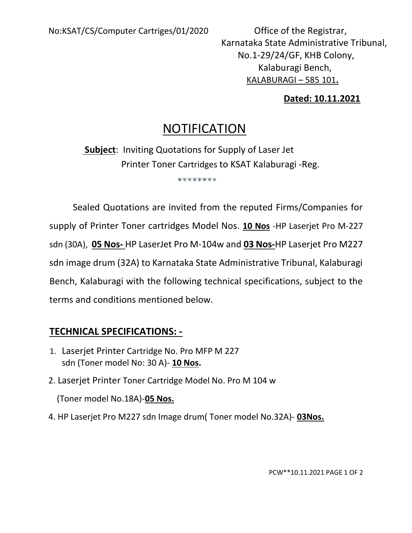Karnataka State Administrative Tribunal, No.1-29/24/GF, KHB Colony, Kalaburagi Bench, KALABURAGI – 585 101.

## Dated: 10.11.2021

## NOTIFICATION

 Subject: Inviting Quotations for Supply of Laser Jet Printer Toner Cartridges to KSAT Kalaburagi -Reg.

\*\*\*\*\*\*\*\*

Sealed Quotations are invited from the reputed Firms/Companies for supply of Printer Toner cartridges Model Nos. 10 Nos -HP Laserjet Pro M-227 sdn (30A), 05 Nos- HP LaserJet Pro M-104w and 03 Nos-HP Laserjet Pro M227 sdn image drum (32A) to Karnataka State Administrative Tribunal, Kalaburagi Bench, Kalaburagi with the following technical specifications, subject to the terms and conditions mentioned below.

## TECHNICAL SPECIFICATIONS: -

- 1. Laserjet Printer Cartridge No. Pro MFP M 227 sdn (Toner model No: 30 A)- 10 Nos.
- 2. Laserjet Printer Toner Cartridge Model No. Pro M 104 w

(Toner model No.18A)-05 Nos.

4. HP Laserjet Pro M227 sdn Image drum (Toner model No.32A)- 03Nos.